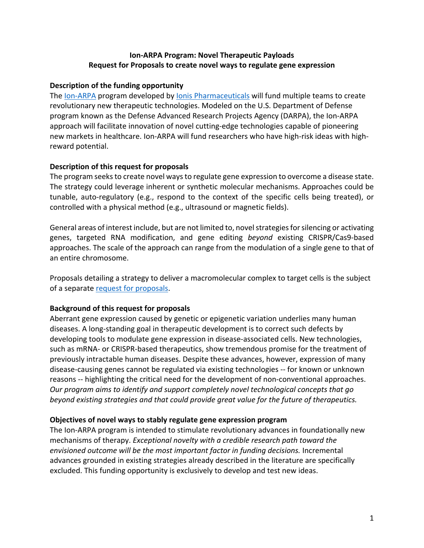# **Ion-ARPA Program: Novel Therapeutic Payloads Request for Proposals to create novel ways to regulate gene expression**

# **Description of the funding opportunity**

The [Ion-ARPA](https://www.ionispharma.com/ionis-innovation/ion-arpa-initiative/) program developed by [Ionis Pharmaceuticals](https://www.ionispharma.com/) will fund multiple teams to create revolutionary new therapeutic technologies. Modeled on the U.S. Department of Defense program known as the Defense Advanced Research Projects Agency (DARPA), the Ion-ARPA approach will facilitate innovation of novel cutting-edge technologies capable of pioneering new markets in healthcare. Ion-ARPA will fund researchers who have high-risk ideas with highreward potential.

## **Description of this request for proposals**

The program seeks to create novel ways to regulate gene expression to overcome a disease state. The strategy could leverage inherent or synthetic molecular mechanisms. Approaches could be tunable, auto-regulatory (e.g., respond to the context of the specific cells being treated), or controlled with a physical method (e.g., ultrasound or magnetic fields).

General areas of interest include, but are not limited to, novel strategies for silencing or activating genes, targeted RNA modification, and gene editing *beyond* existing CRISPR/Cas9-based approaches. The scale of the approach can range from the modulation of a single gene to that of an entire chromosome.

Proposals detailing a strategy to deliver a macromolecular complex to target cells is the subject of a separate [request for](https://www.ionispharma.com/wp-content/uploads/2021/08/Payload_delivery_RFP_final.pdf) proposals.

# **Background of this request for proposals**

Aberrant gene expression caused by genetic or epigenetic variation underlies many human diseases. A long-standing goal in therapeutic development is to correct such defects by developing tools to modulate gene expression in disease-associated cells. New technologies, such as mRNA- or CRISPR-based therapeutics, show tremendous promise for the treatment of previously intractable human diseases. Despite these advances, however, expression of many disease-causing genes cannot be regulated via existing technologies -- for known or unknown reasons -- highlighting the critical need for the development of non-conventional approaches. *Our program aims to identify and support completely novel technological concepts that go beyond existing strategies and that could provide great value for the future of therapeutics.*

### **Objectives of novel ways to stably regulate gene expression program**

The Ion-ARPA program is intended to stimulate revolutionary advances in foundationally new mechanisms of therapy. *Exceptional novelty with a credible research path toward the envisioned outcome will be the most important factor in funding decisions.* Incremental advances grounded in existing strategies already described in the literature are specifically excluded. This funding opportunity is exclusively to develop and test new ideas.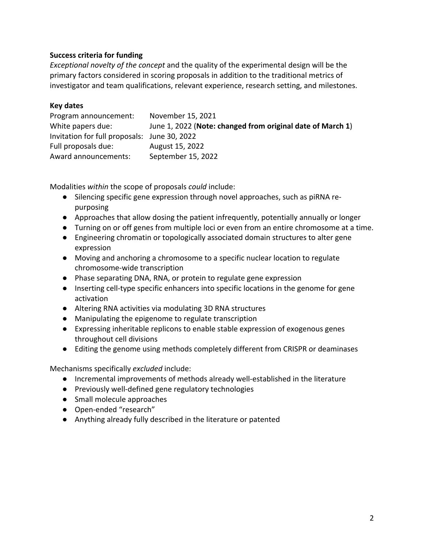# **Success criteria for funding**

*Exceptional novelty of the concept* and the quality of the experimental design will be the primary factors considered in scoring proposals in addition to the traditional metrics of investigator and team qualifications, relevant experience, research setting, and milestones.

#### **Key dates**

| Program announcement:                        | November 15, 2021                                          |
|----------------------------------------------|------------------------------------------------------------|
| White papers due:                            | June 1, 2022 (Note: changed from original date of March 1) |
| Invitation for full proposals: June 30, 2022 |                                                            |
| Full proposals due:                          | August 15, 2022                                            |
| Award announcements:                         | September 15, 2022                                         |

Modalities *within* the scope of proposals *could* include:

- Silencing specific gene expression through novel approaches, such as piRNA repurposing
- Approaches that allow dosing the patient infrequently, potentially annually or longer
- Turning on or off genes from multiple loci or even from an entire chromosome at a time.
- Engineering chromatin or topologically associated domain structures to alter gene expression
- Moving and anchoring a chromosome to a specific nuclear location to regulate chromosome-wide transcription
- Phase separating DNA, RNA, or protein to regulate gene expression
- Inserting cell-type specific enhancers into specific locations in the genome for gene activation
- Altering RNA activities via modulating 3D RNA structures
- Manipulating the epigenome to regulate transcription
- Expressing inheritable replicons to enable stable expression of exogenous genes throughout cell divisions
- Editing the genome using methods completely different from CRISPR or deaminases

Mechanisms specifically *excluded* include:

- Incremental improvements of methods already well-established in the literature
- Previously well-defined gene regulatory technologies
- Small molecule approaches
- Open-ended "research"
- Anything already fully described in the literature or patented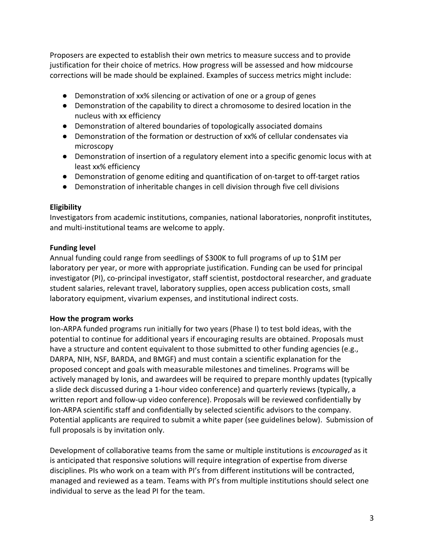Proposers are expected to establish their own metrics to measure success and to provide justification for their choice of metrics. How progress will be assessed and how midcourse corrections will be made should be explained. Examples of success metrics might include:

- Demonstration of xx% silencing or activation of one or a group of genes
- Demonstration of the capability to direct a chromosome to desired location in the nucleus with xx efficiency
- Demonstration of altered boundaries of topologically associated domains
- Demonstration of the formation or destruction of xx% of cellular condensates via microscopy
- Demonstration of insertion of a regulatory element into a specific genomic locus with at least xx% efficiency
- Demonstration of genome editing and quantification of on-target to off-target ratios
- Demonstration of inheritable changes in cell division through five cell divisions

### **Eligibility**

Investigators from academic institutions, companies, national laboratories, nonprofit institutes, and multi-institutional teams are welcome to apply.

#### **Funding level**

Annual funding could range from seedlings of \$300K to full programs of up to \$1M per laboratory per year, or more with appropriate justification. Funding can be used for principal investigator (PI), co-principal investigator, staff scientist, postdoctoral researcher, and graduate student salaries, relevant travel, laboratory supplies, open access publication costs, small laboratory equipment, vivarium expenses, and institutional indirect costs.

### **How the program works**

Ion-ARPA funded programs run initially for two years (Phase I) to test bold ideas, with the potential to continue for additional years if encouraging results are obtained. Proposals must have a structure and content equivalent to those submitted to other funding agencies (e.g., DARPA, NIH, NSF, BARDA, and BMGF) and must contain a scientific explanation for the proposed concept and goals with measurable milestones and timelines. Programs will be actively managed by Ionis, and awardees will be required to prepare monthly updates (typically a slide deck discussed during a 1-hour video conference) and quarterly reviews (typically, a written report and follow-up video conference). Proposals will be reviewed confidentially by Ion-ARPA scientific staff and confidentially by selected scientific advisors to the company. Potential applicants are required to submit a white paper (see guidelines below). Submission of full proposals is by invitation only.

Development of collaborative teams from the same or multiple institutions is *encouraged* as it is anticipated that responsive solutions will require integration of expertise from diverse disciplines. PIs who work on a team with PI's from different institutions will be contracted, managed and reviewed as a team. Teams with PI's from multiple institutions should select one individual to serve as the lead PI for the team.